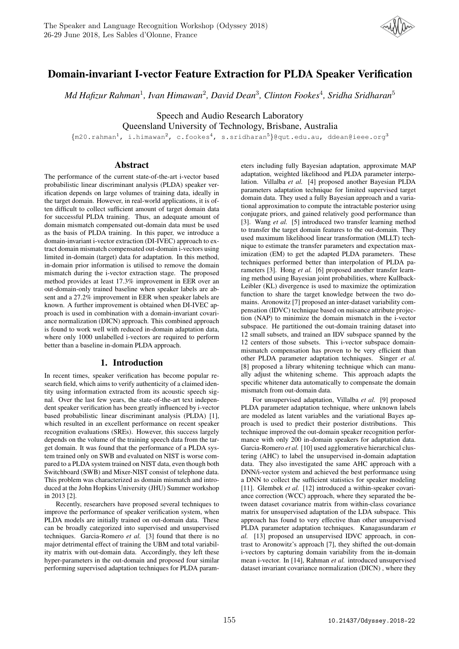

# Domain-invariant I-vector Feature Extraction for PLDA Speaker Verification

*Md Hafizur Rahman*<sup>1</sup> *, Ivan Himawan*<sup>2</sup> *, David Dean*<sup>3</sup> *, Clinton Fookes*<sup>4</sup> *, Sridha Sridharan*<sup>5</sup>

Speech and Audio Research Laboratory Queensland University of Technology, Brisbane, Australia

 ${m20.random}^1$ , i.himawan<sup>2</sup>, c.fookes<sup>4</sup>, s.sridharan<sup>5</sup>}@qut.edu.au, ddean@ieee.org<sup>3</sup>

### Abstract

The performance of the current state-of-the-art i-vector based probabilistic linear discriminant analysis (PLDA) speaker verification depends on large volumes of training data, ideally in the target domain. However, in real-world applications, it is often difficult to collect sufficient amount of target domain data for successful PLDA training. Thus, an adequate amount of domain mismatch compensated out-domain data must be used as the basis of PLDA training. In this paper, we introduce a domain-invariant i-vector extraction (DI-IVEC) approach to extract domain mismatch compensated out-domain i-vectors using limited in-domain (target) data for adaptation. In this method, in-domain prior information is utilised to remove the domain mismatch during the i-vector extraction stage. The proposed method provides at least 17.3% improvement in EER over an out-domain-only trained baseline when speaker labels are absent and a 27.2% improvement in EER when speaker labels are known. A further improvement is obtained when DI-IVEC approach is used in combination with a domain-invariant covariance normalization (DICN) approach. This combined approach is found to work well with reduced in-domain adaptation data, where only 1000 unlabelled i-vectors are required to perform better than a baseline in-domain PLDA approach.

## 1. Introduction

In recent times, speaker verification has become popular research field, which aims to verify authenticity of a claimed identity using information extracted from its acoustic speech signal. Over the last few years, the state-of-the-art text independent speaker verification has been greatly influenced by i-vector based probabilistic linear discriminant analysis (PLDA) [1], which resulted in an excellent performance on recent speaker recognition evaluations (SREs). However, this success largely depends on the volume of the training speech data from the target domain. It was found that the performance of a PLDA system trained only on SWB and evaluated on NIST is worse compared to a PLDA system trained on NIST data, even though both Switchboard (SWB) and Mixer-NIST consist of telephone data. This problem was characterized as domain mismatch and introduced at the John Hopkins University (JHU) Summer workshop in 2013 [2].

Recently, researchers have proposed several techniques to improve the performance of speaker verification system, when PLDA models are initially trained on out-domain data. These can be broadly categorized into supervised and unsupervised techniques. Garcia-Romero *et al.* [3] found that there is no major detrimental effect of training the UBM and total variability matrix with out-domain data. Accordingly, they left these hyper-parameters in the out-domain and proposed four similar performing supervised adaptation techniques for PLDA param-

eters including fully Bayesian adaptation, approximate MAP adaptation, weighted likelihood and PLDA parameter interpolation. Villalba *et al.* [4] proposed another Bayesian PLDA parameters adaptation technique for limited supervised target domain data. They used a fully Bayesian approach and a variational approximation to compute the intractable posterior using conjugate priors, and gained relatively good performance than [3]. Wang *et al.* [5] introduced two transfer learning method to transfer the target domain features to the out-domain. They used maximum likelihood linear transformation (MLLT) technique to estimate the transfer parameters and expectation maximization (EM) to get the adapted PLDA parameters. These techniques performed better than interpolation of PLDA parameters [3]. Hong *et al.* [6] proposed another transfer learning method using Bayesian joint probabilities, where Kullback-Leibler (KL) divergence is used to maximize the optimization function to share the target knowledge between the two domains. Aronowitz [7] proposed an inter-dataset variability compensation (IDVC) technique based on nuisance attribute projection (NAP) to minimize the domain mismatch in the i-vector subspace. He partitioned the out-domain training dataset into 12 small subsets, and trained an IDV subspace spanned by the 12 centers of those subsets. This i-vector subspace domainmismatch compensation has proven to be very efficient than other PLDA parameter adaptation techniques. Singer *et al.* [8] proposed a library whitening technique which can manually adjust the whitening scheme. This approach adapts the specific whitener data automatically to compensate the domain mismatch from out-domain data.

For unsupervised adaptation, Villalba *et al.* [9] proposed PLDA parameter adaptation technique, where unknown labels are modeled as latent variables and the variational Bayes approach is used to predict their posterior distributions. This technique improved the out-domain speaker recognition performance with only 200 in-domain speakers for adaptation data. Garcia-Romero *et al.* [10] used agglomerative hierarchical clustering (AHC) to label the unsupervised in-domain adaptation data. They also investigated the same AHC approach with a DNN/i-vector system and achieved the best performance using a DNN to collect the sufficient statistics for speaker modeling [11]. Glembek et al. [12] introduced a within-speaker covariance correction (WCC) approach, where they separated the between dataset covariance matrix from within-class covariance matrix for unsupervised adaptation of the LDA subspace. This approach has found to very effective than other unsupervised PLDA parameter adaptation techniques. Kanagasundaram *et al.* [13] proposed an unsupervised IDVC approach, in contrast to Aronowitz's approach [7], they shifted the out-domain i-vectors by capturing domain variability from the in-domain mean i-vector. In [14], Rahman *et al.* introduced unsupervised dataset invariant covariance normalization (DICN) , where they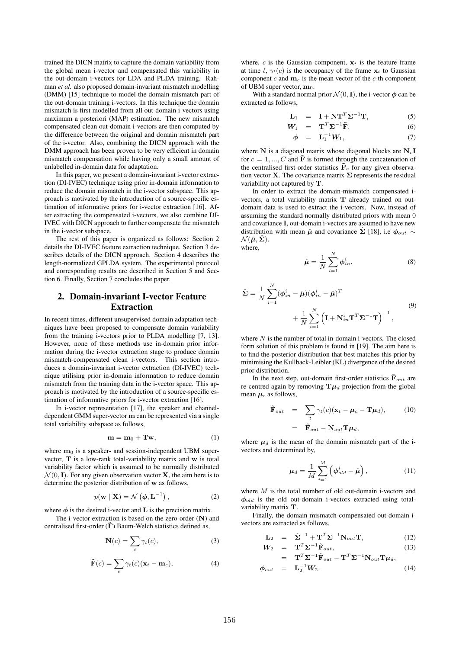trained the DICN matrix to capture the domain variability from the global mean i-vector and compensated this variability in the out-domain i-vectors for LDA and PLDA training. Rahman *et al.* also proposed domain-invariant mismatch modelling (DMM) [15] technique to model the domain mismatch part of the out-domain training i-vectors. In this technique the domain mismatch is first modelled from all out-domain i-vectors using maximum a posteriori (MAP) estimation. The new mismatch compensated clean out-domain i-vectors are then computed by the difference between the original and domain mismatch part of the i-vector. Also, combining the DICN approach with the DMM approach has been proven to be very efficient in domain mismatch compensation while having only a small amount of unlabelled in-domain data for adaptation.

In this paper, we present a domain-invariant i-vector extraction (DI-IVEC) technique using prior in-domain information to reduce the domain mismatch in the i-vector subspace. This approach is motivated by the introduction of a source-specific estimation of informative priors for i-vector extraction [16]. After extracting the compensated i-vectors, we also combine DI-IVEC with DICN approach to further compensate the mismatch in the i-vector subspace.

The rest of this paper is organized as follows: Section 2 details the DI-IVEC feature extraction technique. Section 3 describes details of the DICN approach. Section 4 describes the length-normalized GPLDA system. The experimental protocol and corresponding results are described in Section 5 and Section 6. Finally, Section 7 concludes the paper.

## 2. Domain-invariant I-vector Feature Extraction

In recent times, different unsupervised domain adaptation techniques have been proposed to compensate domain variability from the training i-vectors prior to PLDA modelling [7, 13]. However, none of these methods use in-domain prior information during the i-vector extraction stage to produce domain mismatch-compensated clean i-vectors. This section introduces a domain-invariant i-vector extraction (DI-IVEC) technique utilising prior in-domain information to reduce domain mismatch from the training data in the i-vector space. This approach is motivated by the introduction of a source-specific estimation of informative priors for i-vector extraction [16].

In i-vector representation [17], the speaker and channeldependent GMM super-vector m can be represented via a single total variability subspace as follows,

$$
\mathbf{m} = \mathbf{m}_0 + \mathbf{Tw},\tag{1}
$$

where  $m_0$  is a speaker- and session-independent UBM supervector, T is a low-rank total-variability matrix and w is total variability factor which is assumed to be normally distributed  $\mathcal{N}(0, I)$ . For any given observation vector **X**, the aim here is to determine the posterior distribution of w as follows,

$$
p(\mathbf{w} \mid \mathbf{X}) = \mathcal{N}\left(\boldsymbol{\phi}, \mathbf{L}^{-1}\right),\tag{2}
$$

where  $\phi$  is the desired i-vector and **L** is the precision matrix.

The i-vector extraction is based on the zero-order  $(N)$  and centralised first-order  $(\tilde{F})$  Baum-Welch statistics defined as,

$$
\mathbf{N}(c) = \sum_{t} \gamma_t(c),\tag{3}
$$

$$
\tilde{\mathbf{F}}(c) = \sum_{t} \gamma_t(c) (\mathbf{x}_t - \mathbf{m}_c), \tag{4}
$$

where,  $c$  is the Gaussian component,  $x_t$  is the feature frame at time t,  $\gamma_t(c)$  is the occupancy of the frame  $x_t$  to Gaussian component  $c$  and  $m_c$  is the mean vector of the  $c$ -th component of UBM super vector,  $m_0$ .

With a standard normal prior  $\mathcal{N}(0, I)$ , the i-vector  $\phi$  can be extracted as follows,

$$
\mathbf{L}_1 = \mathbf{I} + \mathbf{N} \mathbf{T}^T \mathbf{\Sigma}^{-1} \mathbf{T}, \tag{5}
$$

$$
\mathbf{W}_1 = \mathbf{T}^T \mathbf{\Sigma}^{-1} \tilde{\mathbf{F}}, \tag{6}
$$

$$
\phi = \mathbf{L}_1^{-1} \mathbf{W}_1, \tag{7}
$$

where  $N$  is a diagonal matrix whose diagonal blocks are  $N_cI$ for  $c = 1, ..., C$  and **F** is formed through the concatenation of the centralised first-order statistics  $\tilde{\mathbf{F}}_c$  for any given observation vector **X**. The covariance matrix  $\Sigma$  represents the residual variability not captured by T.

In order to extract the domain-mismatch compensated ivectors, a total variability matrix T already trained on outdomain data is used to extract the i-vectors. Now, instead of assuming the standard normally distributed priors with mean 0 and covariance I, out-domain i-vectors are assumed to have new distribution with mean  $\hat{\mu}$  and covariance  $\hat{\Sigma}$  [18], i.e  $\phi_{out} \sim$  $\mathcal{N}(\hat{\boldsymbol{\mu}}, \hat{\boldsymbol{\Sigma}}).$ where,

$$
\hat{\mu} = \frac{1}{N} \sum_{i=1}^{N} \phi_{in}^{i},
$$
\n(8)

$$
\hat{\Sigma} = \frac{1}{N} \sum_{i=1}^{N} (\phi_{in}^{i} - \hat{\mu})(\phi_{in}^{i} - \hat{\mu})^{T}
$$

$$
+ \frac{1}{N} \sum_{i=1}^{N} (\mathbf{I} + \mathbf{N}_{in}^{i} \mathbf{T}^{T} \Sigma^{-1} \mathbf{T})^{-1},
$$
\n(9)

where  $N$  is the number of total in-domain i-vectors. The closed form solution of this problem is found in [19]. The aim here is to find the posterior distribution that best matches this prior by minimising the Kullback-Leibler (KL) divergence of the desired prior distribution.

In the next step, out-domain first-order statistics  $\tilde{\mathbf{F}}_{out}$  are re-centred again by removing  $\mathbf{T}\mu_d$  projection from the global mean  $\mu_c$  as follows,

$$
\hat{\mathbf{F}}_{out} = \sum_{t} \gamma_t(c)(\mathbf{x}_t - \boldsymbol{\mu}_c - \mathbf{T}\boldsymbol{\mu}_d), \qquad (10)
$$
\n
$$
= \tilde{\mathbf{F}}_{out} - \mathbf{N}_{out} \mathbf{T} \boldsymbol{\mu}_d,
$$

where  $\mu_d$  is the mean of the domain mismatch part of the ivectors and determined by,

$$
\mu_d = \frac{1}{M} \sum_{i=1}^{M} \left( \phi_{old}^i - \hat{\mu} \right), \qquad (11)
$$

where M is the total number of old out-domain i-vectors and  $\phi_{old}$  is the old out-domain i-vectors extracted using totalvariability matrix T.

Finally, the domain mismatch-compensated out-domain ivectors are extracted as follows,

$$
\mathbf{L}_2 = \hat{\Sigma}^{-1} + \mathbf{T}^T \Sigma^{-1} \mathbf{N}_{out} \mathbf{T}, \tag{12}
$$
\n
$$
\mathbf{V} = \mathbf{T}^T \mathbf{N}^{-1} \hat{\mathbf{n}}
$$
\n
$$
(12)
$$

$$
\mathbf{W}_2 = \mathbf{T}^T \mathbf{\Sigma}^{-1} \hat{\mathbf{F}}_{out}, \qquad (13)
$$

$$
= \mathbf{T}^T \mathbf{\Sigma}^{-1} \tilde{\mathbf{F}}_{out} - \mathbf{T}^T \mathbf{\Sigma}^{-1} \mathbf{N}_{out} \mathbf{T} \boldsymbol{\mu}_d, \n\phi_{out} = \mathbf{L}_2^{-1} \mathbf{W}_2.
$$
\n(14)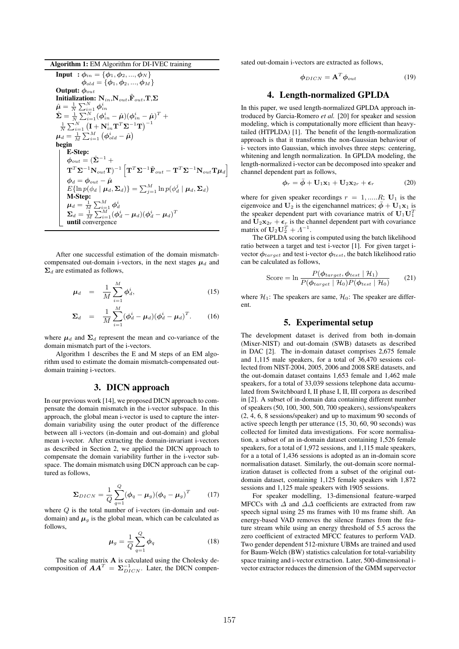| Algorithm 1: EM Algorithm for DI-IVEC training |  |  |  |  |  |
|------------------------------------------------|--|--|--|--|--|
|------------------------------------------------|--|--|--|--|--|

**Input** :  $\phi_{in} = {\phi_1, \phi_2, ..., \phi_N}$  $\phi_{old} = {\phi_1, \phi_2, ..., \phi_M}$ Output:  $\phi_{out}$ Initialization:  $\mathbf{N}_{in},\!\mathbf{N}_{out},\!\tilde{\mathbf{F}}_{out},\!\mathbf{T},\!\boldsymbol{\Sigma}\!$  $\begin{array}{l} \hat{\boldsymbol{\mu}} = \frac{1}{N}\sum_{i=1}^N \boldsymbol{\phi}_{in}^i \ \hat{\boldsymbol{\Sigma}} = \frac{1}{N}\sum_{i=1}^N (\boldsymbol{\phi}_{in}^i - \hat{\boldsymbol{\mu}}) (\boldsymbol{\phi}_{in}^i - \hat{\boldsymbol{\mu}})^T \ + \end{array}$  $\frac{1}{N}\sum_{i=1}^N\left(\mathbf{I}+\mathbf{N}^i_{in}\mathbf{T}^T\mathbf{\Sigma}^{-1}\mathbf{T}\right)^{-1}$  $\boldsymbol{\mu}_d = \frac{1}{M}\sum_{i=1}^M \left(\boldsymbol{\phi}_{old}^i - \hat{\boldsymbol{\mu}}\right)$ begin E-Step:  $\phi_{out} = (\hat{\Sigma}^{-1} +$  $(\mathbf{T}^T\mathbf{\Sigma}^{-1}\mathbf{N}_{out}\mathbf{T})^{-1}\left[\mathbf{T}^T\mathbf{\Sigma}^{-1}\tilde{\mathbf{F}}_{out}-\mathbf{T}^T\mathbf{\Sigma}^{-1}\mathbf{N}_{out}\mathbf{T}\boldsymbol{\mu}_d\right]$  $\boldsymbol{\phi}_d = \boldsymbol{\phi}_{out} - \hat{\boldsymbol{\mu}}$  $E\{\ln p(\phi_d \mid \boldsymbol{\mu}_d, \boldsymbol{\Sigma}_d)\} = \sum_{j=1}^M \ln p(\phi_d^j \mid \boldsymbol{\mu}_d, \boldsymbol{\Sigma}_d)$ M-Step:  $\boldsymbol{\mu}_d = \frac{1}{M}\sum_{i=1}^M \boldsymbol{\phi}_d^i$  $\boldsymbol{\Sigma}_{d}=\frac{1}{M}\sum_{i=1}^{M}(\boldsymbol{\phi}_{d}^{i}-\boldsymbol{\mu}_{d})(\boldsymbol{\phi}_{d}^{i}-\boldsymbol{\mu}_{d})^{T}$ until convergence

After one successful estimation of the domain mismatchcompensated out-domain i-vectors, in the next stages  $\mu_d$  and  $\Sigma_d$  are estimated as follows,

$$
\mu_d = \frac{1}{M} \sum_{i=1}^{M} \phi_d^i, \qquad (15)
$$

$$
\Sigma_d = \frac{1}{M} \sum_{i=1}^{M} (\phi_d^i - \mu_d) (\phi_d^i - \mu_d)^T.
$$
 (16)

where  $\mu_d$  and  $\Sigma_d$  represent the mean and co-variance of the domain mismatch part of the i-vectors.

Algorithm 1 describes the E and M steps of an EM algorithm used to estimate the domain mismatch-compensated outdomain training i-vectors.

## 3. DICN approach

In our previous work [14], we proposed DICN approach to compensate the domain mismatch in the i-vector subspace. In this approach, the global mean i-vector is used to capture the interdomain variability using the outer product of the difference between all i-vectors (in-domain and out-domain) and global mean i-vector. After extracting the domain-invariant i-vectors as described in Section 2, we applied the DICN approach to compensate the domain variability further in the i-vector subspace. The domain mismatch using DICN approach can be captured as follows,

$$
\Sigma_{DICN} = \frac{1}{Q} \sum_{q=1}^{Q} (\phi_q - \mu_g)(\phi_q - \mu_g)^T
$$
 (17)

where  $Q$  is the total number of i-vectors (in-domain and outdomain) and  $\mu_g$  is the global mean, which can be calculated as follows,

$$
\mu_g = \frac{1}{Q} \sum_{q=1}^{Q} \phi_q \tag{18}
$$

The scaling matrix A is calculated using the Cholesky decomposition of  $\boldsymbol{A}\boldsymbol{A}^T = \boldsymbol{\Sigma}_{DICN}^{-1}$ . Later, the DICN compensated out-domain i-vectors are extracted as follows,

$$
\phi_{DICN} = \mathbf{A}^T \phi_{out} \tag{19}
$$

#### 4. Length-normalized GPLDA

In this paper, we used length-normalized GPLDA approach introduced by Garcia-Romero *et al.* [20] for speaker and session modeling, which is computationally more efficient than heavytailed (HTPLDA) [1]. The benefit of the length-normalization approach is that it transforms the non-Gaussian behaviour of i- vectors into Gaussian, which involves three steps: centering, whitening and length normalization. In GPLDA modeling, the length-normalized i-vector can be decomposed into speaker and channel dependent part as follows,

$$
\phi_r = \bar{\phi} + \mathbf{U}_1 \mathbf{x}_1 + \mathbf{U}_2 \mathbf{x}_{2r} + \boldsymbol{\epsilon}_r \tag{20}
$$

where for given speaker recordings  $r = 1, \dots, R$ ;  $U_1$  is the eigenvoice and  $U_2$  is the eigenchannel matrices;  $\bar{\phi} + U_1x_1$  is the speaker dependent part with covariance matrix of  $U_1 U_1^T$ and  $U_2x_{2r} + \epsilon_r$  is the channel dependent part with covariance matrix of  $\mathbf{U}_2 \mathbf{U}_2^T + \Lambda^{-1}$ .

The GPLDA scoring is computed using the batch likelihood ratio between a target and test i-vector [1]. For given target ivector  $\phi_{target}$  and test i-vector  $\phi_{test}$ , the batch likelihood ratio can be calculated as follows,

$$
\text{Score} = \ln \frac{P(\phi_{target}, \phi_{test} | \mathcal{H}_1)}{P(\phi_{target} | \mathcal{H}_0) P(\phi_{test} | \mathcal{H}_0)}
$$
(21)

where  $\mathcal{H}_1$ : The speakers are same,  $\mathcal{H}_0$ : The speaker are different.

#### 5. Experimental setup

The development dataset is derived from both in-domain (Mixer-NIST) and out-domain (SWB) datasets as described in DAC [2]. The in-domain dataset comprises 2,675 female and 1,115 male speakers, for a total of 36,470 sessions collected from NIST-2004, 2005, 2006 and 2008 SRE datasets, and the out-domain dataset contains 1,653 female and 1,462 male speakers, for a total of 33,039 sessions telephone data accumulated from Switchboard I, II phase I, II, III corpora as described in [2]. A subset of in-domain data containing different number of speakers (50, 100, 300, 500, 700 speakers), sessions/speakers (2, 4, 6, 8 sessions/speaker) and up to maximum 90 seconds of active speech length per utterance (15, 30, 60, 90 seconds) was collected for limited data investigations. For score normalisation, a subset of an in-domain dataset containing 1,526 female speakers, for a total of 1,972 sessions, and 1,115 male speakers, for a a total of 1,436 sessions is adopted as an in-domain score normalisation dataset. Similarly, the out-domain score normalization dataset is collected from a subset of the original outdomain dataset, containing 1,125 female speakers with 1,872 sessions and 1,125 male speakers with 1905 sessions.

For speaker modelling, 13-dimensional feature-warped MFCCs with  $\Delta$  and  $\Delta\Delta$  coefficients are extracted from raw speech signal using 25 ms frames with 10 ms frame shift. An energy-based VAD removes the silence frames from the feature stream while using an energy threshold of 5.5 across the zero coefficient of extracted MFCC features to perform VAD. Two gender dependent 512-mixture UBMs are trained and used for Baum-Welch (BW) statistics calculation for total-variability space training and i-vector extraction. Later, 500-dimensional ivector extractor reduces the dimension of the GMM supervector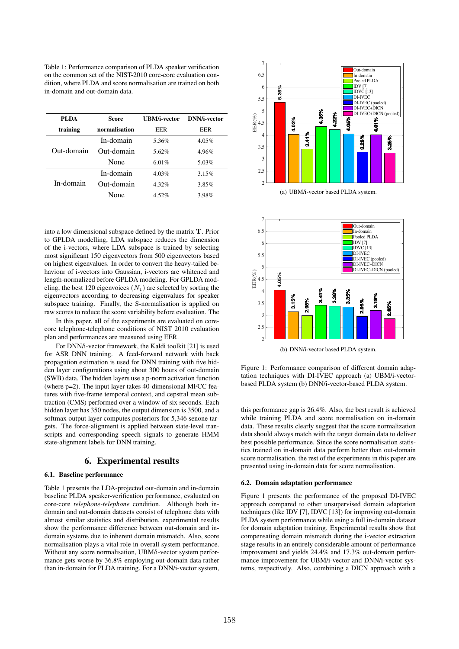Table 1: Performance comparison of PLDA speaker verification on the common set of the NIST-2010 core-core evaluation condition, where PLDA and score normalisation are trained on both in-domain and out-domain data.

| PLDA       | Score         | UBM/i-vector | DNN/i-vector |
|------------|---------------|--------------|--------------|
| training   | normalisation | EER          | EER          |
| Out-domain | In-domain     | 5.36%        | $4.05\%$     |
|            | Out-domain    | 5.62%        | 4.96%        |
|            | None          | 6.01%        | 5.03%        |
| In-domain  | In-domain     | 4.03%        | 3.15%        |
|            | Out-domain    | 4.32%        | 3.85%        |
|            | None          | 4.52%        | 3.98%        |

into a low dimensional subspace defined by the matrix T. Prior to GPLDA modelling, LDA subspace reduces the dimension of the i-vectors, where LDA subspace is trained by selecting most significant 150 eigenvectors from 500 eigenvectors based on highest eigenvalues. In order to convert the heavy-tailed behaviour of i-vectors into Gaussian, i-vectors are whitened and length-normalized before GPLDA modeling. For GPLDA modeling, the best 120 eigenvoices  $(N_1)$  are selected by sorting the eigenvectors according to decreasing eigenvalues for speaker subspace training. Finally, the S-normalisation is applied on raw scores to reduce the score variability before evaluation. The

In this paper, all of the experiments are evaluated on corecore telephone-telephone conditions of NIST 2010 evaluation plan and performances are measured using EER.

For DNN/i-vector framework, the Kaldi toolkit [21] is used for ASR DNN training. A feed-forward network with back propagation estimation is used for DNN training with five hidden layer configurations using about 300 hours of out-domain (SWB) data. The hidden layers use a p-norm activation function (where p=2). The input layer takes 40-dimensional MFCC features with five-frame temporal context, and cepstral mean subtraction (CMS) performed over a window of six seconds. Each hidden layer has 350 nodes, the output dimension is 3500, and a softmax output layer computes posteriors for 5,346 senone targets. The force-alignment is applied between state-level transcripts and corresponding speech signals to generate HMM state-alignment labels for DNN training. **FI.DA Some CRMA-vector DNNA-vector**<br> **CRAM-vector ESTENT CRAM-vector ESTENT CRAM-vector CRAM-**<br> **CRAM-vector CRAM-**<br> **CRAM-Vector CRAM-**<br> **CRAM-**<br> **CRAM-**<br> **CRAM-**<br> **CRAM-**<br> **CRAM-**<br> **CRAM-**<br> **CRAM-**<br> **CRAM** 

#### 6. Experimental results

#### 6.1. Baseline performance

Table 1 presents the LDA-projected out-domain and in-domain baseline PLDA speaker-verification performance, evaluated on core-core *telephone-telephone* condition. Although both indomain and out-domain datasets consist of telephone data with almost similar statistics and distribution, experimental results show the performance difference between out-domain and indomain systems due to inherent domain mismatch. Also, score normalisation plays a vital role in overall system performance. Without any score normalisation, UBM/i-vector system performance gets worse by 36.8% employing out-domain data rather



(a) UBM/i-vector based PLDA system.



(b) DNN/i-vector based PLDA system.

Figure 1: Performance comparison of different domain adaptation techniques with DI-IVEC approach (a) UBM/i-vectorbased PLDA system (b) DNN/i-vector-based PLDA system.

this performance gap is 26.4%. Also, the best result is achieved while training PLDA and score normalisation on in-domain data. These results clearly suggest that the score normalization data should always match with the target domain data to deliver best possible performance. Since the score normalisation statistics trained on in-domain data perform better than out-domain score normalisation, the rest of the experiments in this paper are presented using in-domain data for score normalisation.

#### 6.2. Domain adaptation performance

Figure 1 presents the performance of the proposed DI-IVEC approach compared to other unsupervised domain adaptation techniques (like IDV [7], IDVC [13]) for improving out-domain PLDA system performance while using a full in-domain dataset for domain adaptation training. Experimental results show that compensating domain mismatch during the i-vector extraction stage results in an entirely considerable amount of performance improvement and yields 24.4% and 17.3% out-domain performance improvement for UBM/i-vector and DNN/i-vector systems, respectively. Also, combining a DICN approach with a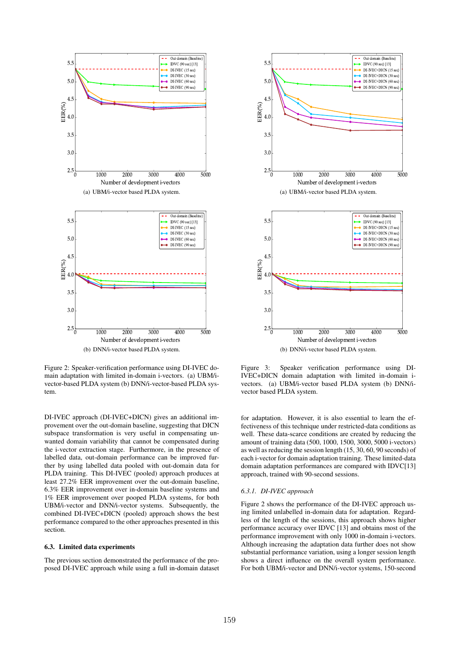

Figure 2: Speaker-verification performance using DI-IVEC domain adaptation with limited in-domain i-vectors. (a) UBM/ivector-based PLDA system (b) DNN/i-vector-based PLDA system.

DI-IVEC approach (DI-IVEC+DICN) gives an additional improvement over the out-domain baseline, suggesting that DICN subspace transformation is very useful in compensating unwanted domain variability that cannot be compensated during the i-vector extraction stage. Furthermore, in the presence of labelled data, out-domain performance can be improved further by using labelled data pooled with out-domain data for PLDA training. This DI-IVEC (pooled) approach produces at least 27.2% EER improvement over the out-domain baseline, 6.3% EER improvement over in-domain baseline systems and 1% EER improvement over pooped PLDA systems, for both UBM/i-vector and DNN/i-vector systems. Subsequently, the combined DI-IVEC+DICN (pooled) approach shows the best performance compared to the other approaches presented in this section.

#### 6.3. Limited data experiments

The previous section demonstrated the performance of the proposed DI-IVEC approach while using a full in-domain dataset



Figure 3: Speaker verification performance using DI-IVEC+DICN domain adaptation with limited in-domain ivectors. (a) UBM/i-vector based PLDA system (b) DNN/ivector based PLDA system.

for adaptation. However, it is also essential to learn the effectiveness of this technique under restricted-data conditions as well. These data-scarce conditions are created by reducing the amount of training data (500, 1000, 1500, 3000, 5000 i-vectors) as well as reducing the session length (15, 30, 60, 90 seconds) of each i-vector for domain adaptation training. These limited-data domain adaptation performances are compared with IDVC[13] approach, trained with 90-second sessions.

#### *6.3.1. DI-IVEC approach*

Figure 2 shows the performance of the DI-IVEC approach using limited unlabelled in-domain data for adaptation. Regardless of the length of the sessions, this approach shows higher performance accuracy over IDVC [13] and obtains most of the performance improvement with only 1000 in-domain i-vectors. Although increasing the adaptation data further does not show substantial performance variation, using a longer session length shows a direct influence on the overall system performance. For both UBM/i-vector and DNN/i-vector systems, 150-second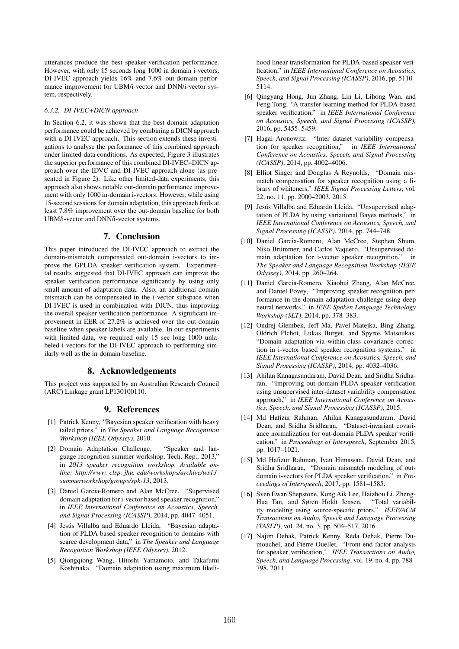utterances produce the best speaker-verification performance. However, with only 15 seconds long 1000 in domain i-vectors, DI-IVEC approach yields 16% and 7.6% out-domain performance improvement for UBM/i-vector and DNN/i-vector system, respectively.

#### *6.3.2. DI-IVEC+DICN approach*

In Section 6.2, it was shown that the best domain adaptation performance could be achieved by combining a DICN approach with a DI-IVEC approach. This section extends these investigations to analyse the performance of this combined approach under limited-data conditions. As expected, Figure 3 illustrates the superior performance of this combined DI-IVEC+DICN approach over the IDVC and DI-IVEC approach alone (as presented in Figure 2). Like other limited-data experiments, this approach also shows notable out-domain performance improvement with only 1000 in-domain i-vectors. However, while using 15-second sessions for domain adaptation, this approach finds at least 7.8% improvement over the out-domain baseline for both UBM/i-vector and DNN/i-vector systems.

### 7. Conclusion

This paper introduced the DI-IVEC approach to extract the domain-mismatch compensated out-domain i-vectors to improve the GPLDA speaker verification system. Experimental results suggested that DI-IVEC approach can improve the speaker verification performance significantly by using only small amount of adaptation data. Also, an additional domain mismatch can be compensated in the i-vector subspace when DI-IVEC is used in combination with DICN, thus improving the overall speaker verification performance. A significant improvement in EER of 27.2% is achieved over the out-domain baseline when speaker labels are available. In our experiments with limited data, we required only 15 sec long 1000 unlabeled i-vectors for the DI-IVEC approach to performing similarly well as the in-domain baseline.

### 8. Acknowledgements

This project was supported by an Australian Research Council (ARC) Linkage grant LP130100110.

### 9. References

- [1] Patrick Kenny, "Bayesian speaker verification with heavy tailed priors," in *The Speaker and Language Recognition Workshop (IEEE Odyssey)*, 2010.
- [2] Domain Adaptation Challenge, "Speaker and language recognition summer workshop, Tech. Rep., 2013," in *2013 speaker recognition workshop. Available online: http://www. clsp. jhu. edu/workshops/archive/ws13 summerworkshop/groups/spk-13*, 2013.
- [3] Daniel Garcia-Romero and Alan McCree, "Supervised domain adaptation for i-vector based speaker recognition," in *IEEE International Conference on Acoustics, Speech, and Signal Processing (ICASSP)*, 2014, pp. 4047–4051.
- [4] Jesús Villalba and Eduardo Lleida, "Bayesian adaptation of PLDA based speaker recognition to domains with scarce development data," in *The Speaker and Language Recognition Workshop (IEEE Odyssey)*, 2012.
- [5] Qiongqiong Wang, Hitoshi Yamamoto, and Takafumi Koshinaka, "Domain adaptation using maximum likeli-

hood linear transformation for PLDA-based speaker verification," in *IEEE International Conference on Acoustics, Speech, and Signal Processing (ICASSP)*, 2016, pp. 5110– 5114.

- [6] Qingyang Hong, Jun Zhang, Lin Li, Lihong Wan, and Feng Tong, "A transfer learning method for PLDA-based speaker verification," in *IEEE International Conference on Acoustics, Speech, and Signal Processing (ICASSP)*, 2016, pp. 5455–5459.
- [7] Hagai Aronowitz, "Inter dataset variability compensation for speaker recognition," in *IEEE International Conference on Acoustics, Speech, and Signal Processing (ICASSP)*, 2014, pp. 4002–4006.
- [8] Elliot Singer and Douglas A Reynolds, "Domain mismatch compensation for speaker recognition using a library of whiteners," *IEEE Signal Processing Letters*, vol. 22, no. 11, pp. 2000–2003, 2015.
- [9] Jesús Villalba and Eduardo Lleida, "Unsupervised adaptation of PLDA by using variational Bayes methods," in *IEEE International Conference on Acoustics, Speech, and Signal Processing (ICASSP)*, 2014, pp. 744–748.
- [10] Daniel Garcia-Romero, Alan McCree, Stephen Shum, Niko Brümmer, and Carlos Vaquero, "Unsupervised domain adaptation for i-vector speaker recognition," in *The Speaker and Language Recognition Workshop (IEEE Odyssey)*, 2014, pp. 260–264.
- [11] Daniel Garcia-Romero, Xiaohui Zhang, Alan McCree, and Daniel Povey, "Improving speaker recognition performance in the domain adaptation challenge using deep neural networks," in *IEEE Spoken Language Technology Workshop (SLT)*, 2014, pp. 378–383.
- [12] Ondrej Glembek, Jeff Ma, Pavel Matejka, Bing Zhang, Oldrich Plchot, Lukas Burget, and Spyros Matsoukas, "Domain adaptation via within-class covariance correction in i-vector based speaker recognition systems," in *IEEE International Conference on Acoustics, Speech, and Signal Processing (ICASSP)*, 2014, pp. 4032–4036.
- [13] Ahilan Kanagasundaram, David Dean, and Sridha Sridharan, "Improving out-domain PLDA speaker verification using unsupervised inter-dataset variability compensation approach," in *IEEE International Conference on Acoustics, Speech, and Signal Processing (ICASSP)*, 2015.
- [14] Md Hafizur Rahman, Ahilan Kanagasundaram, David Dean, and Sridha Sridharan, "Dataset-invariant covariance normalization for out-domain PLDA speaker verification," in *Proceedings of Interspeech*, September 2015, pp. 1017–1021.
- [15] Md Hafizur Rahman, Ivan Himawan, David Dean, and Sridha Sridharan, "Domain mismatch modeling of outdomain i-vectors for PLDA speaker verification," in *Proceedings of Interspeech*, 2017, pp. 1581–1585.
- [16] Sven Ewan Shepstone, Kong Aik Lee, Haizhou Li, Zheng-Hua Tan, and Søren Holdt Jensen, "Total variability modeling using source-specific priors," *IEEE/ACM Transactions on Audio, Speech and Language Processing (TASLP)*, vol. 24, no. 3, pp. 504–517, 2016.
- [17] Najim Dehak, Patrick Kenny, Reda Dehak, Pierre Du- ´ mouchel, and Pierre Ouellet, "Front-end factor analysis for speaker verification," *IEEE Transactions on Audio, Speech, and Language Processing*, vol. 19, no. 4, pp. 788– 798, 2011.